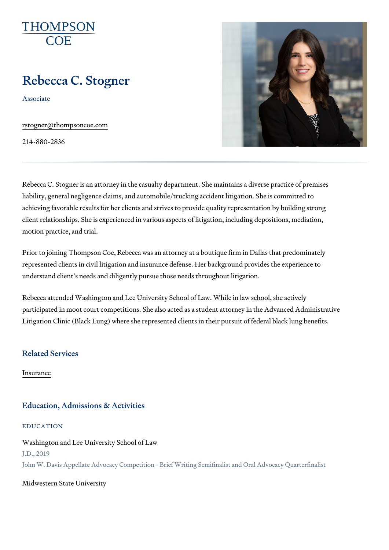# Rebecca C. Stogner

Associate

[rstogner@thompso](mailto:rstogner@thompsoncoe.com)ncoe.com

214-880-2836

Rebecca C. Stogner is an attorney in the casualty department. She maintain liability, general negligence claims, and automobile/trucking accident litig achieving favorable results for her clients and strives to provide quality re client relationships. She is experienced in various aspects of litigation, in motion practice, and trial.

Prior to joining Thompson Coe, Rebecca was an attorney at a boutique firm represented clients in civil litigation and insurance defense. Her backgrou understand client s needs and diligently pursue those needs throughout lit

Rebecca attended Washington and Lee University School of Law. While in I participated in moot court competitions. She also acted as a student attorn Litigation Clinic (Black Lung) where she represented clients in their pursu

Related Services

[Insura](https://www.thompsoncoe.com/people/rebecca-c-stogner/)nce

### Education, Admissions & Activities

#### EDUCATION

Washington and Lee University School of Law J.D., 2019 John W. Davis Appellate Advocacy Competition - Brief Writing Semifinalist and O

Midwestern State University